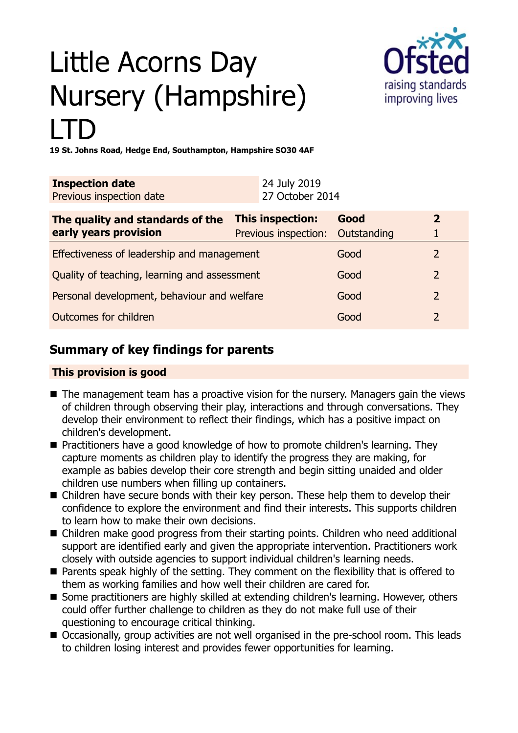# Little Acorns Day Nursery (Hampshire) LTD



**19 St. Johns Road, Hedge End, Southampton, Hampshire SO30 4AF**

| <b>Inspection date</b>   | 24 July 2019    |
|--------------------------|-----------------|
| Previous inspection date | 27 October 2014 |

| The quality and standards of the             | <b>This inspection:</b>          | Good |               |
|----------------------------------------------|----------------------------------|------|---------------|
| early years provision                        | Previous inspection: Outstanding |      |               |
| Effectiveness of leadership and management   |                                  | Good |               |
| Quality of teaching, learning and assessment |                                  | Good |               |
| Personal development, behaviour and welfare  |                                  | Good | $\mathcal{P}$ |
| Outcomes for children                        |                                  | Good |               |

## **Summary of key findings for parents**

## **This provision is good**

- $\blacksquare$  The management team has a proactive vision for the nursery. Managers gain the views of children through observing their play, interactions and through conversations. They develop their environment to reflect their findings, which has a positive impact on children's development.
- Practitioners have a good knowledge of how to promote children's learning. They capture moments as children play to identify the progress they are making, for example as babies develop their core strength and begin sitting unaided and older children use numbers when filling up containers.
- Children have secure bonds with their key person. These help them to develop their confidence to explore the environment and find their interests. This supports children to learn how to make their own decisions.
- Children make good progress from their starting points. Children who need additional support are identified early and given the appropriate intervention. Practitioners work closely with outside agencies to support individual children's learning needs.
- $\blacksquare$  Parents speak highly of the setting. They comment on the flexibility that is offered to them as working families and how well their children are cared for.
- Some practitioners are highly skilled at extending children's learning. However, others could offer further challenge to children as they do not make full use of their questioning to encourage critical thinking.
- Occasionally, group activities are not well organised in the pre-school room. This leads to children losing interest and provides fewer opportunities for learning.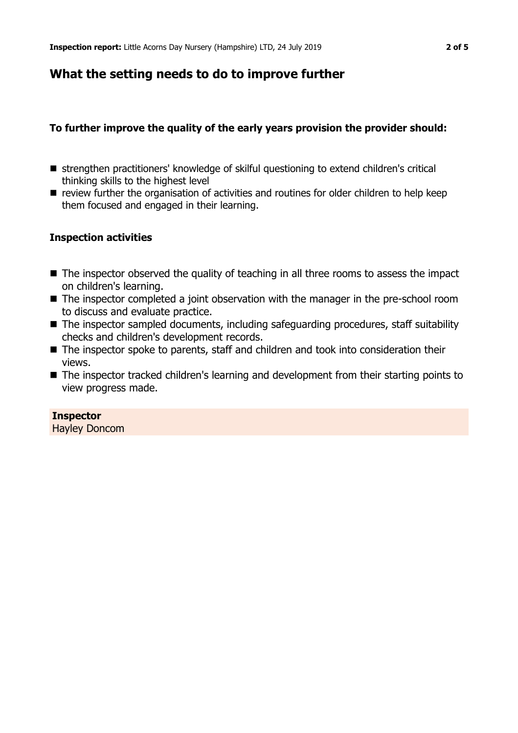## **What the setting needs to do to improve further**

## **To further improve the quality of the early years provision the provider should:**

- strengthen practitioners' knowledge of skilful questioning to extend children's critical thinking skills to the highest level
- **n** review further the organisation of activities and routines for older children to help keep them focused and engaged in their learning.

## **Inspection activities**

- $\blacksquare$  The inspector observed the quality of teaching in all three rooms to assess the impact on children's learning.
- The inspector completed a joint observation with the manager in the pre-school room to discuss and evaluate practice.
- $\blacksquare$  The inspector sampled documents, including safeguarding procedures, staff suitability checks and children's development records.
- The inspector spoke to parents, staff and children and took into consideration their views.
- The inspector tracked children's learning and development from their starting points to view progress made.

### **Inspector**

Hayley Doncom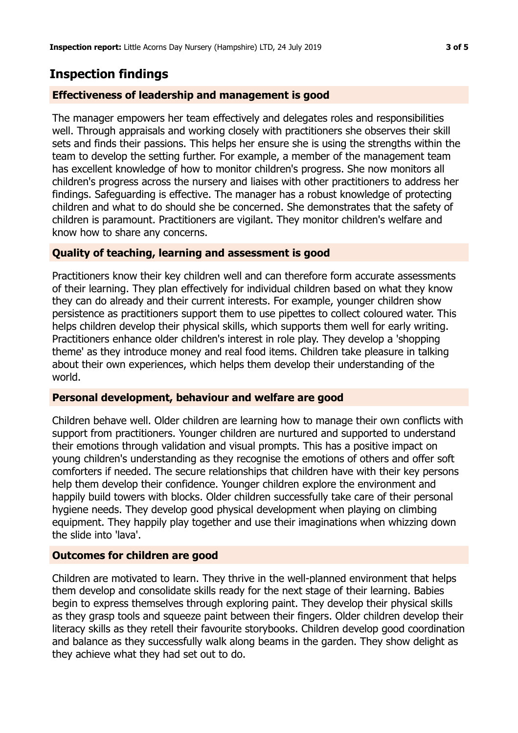## **Inspection findings**

## **Effectiveness of leadership and management is good**

The manager empowers her team effectively and delegates roles and responsibilities well. Through appraisals and working closely with practitioners she observes their skill sets and finds their passions. This helps her ensure she is using the strengths within the team to develop the setting further. For example, a member of the management team has excellent knowledge of how to monitor children's progress. She now monitors all children's progress across the nursery and liaises with other practitioners to address her findings. Safeguarding is effective. The manager has a robust knowledge of protecting children and what to do should she be concerned. She demonstrates that the safety of children is paramount. Practitioners are vigilant. They monitor children's welfare and know how to share any concerns.

### **Quality of teaching, learning and assessment is good**

Practitioners know their key children well and can therefore form accurate assessments of their learning. They plan effectively for individual children based on what they know they can do already and their current interests. For example, younger children show persistence as practitioners support them to use pipettes to collect coloured water. This helps children develop their physical skills, which supports them well for early writing. Practitioners enhance older children's interest in role play. They develop a 'shopping theme' as they introduce money and real food items. Children take pleasure in talking about their own experiences, which helps them develop their understanding of the world.

### **Personal development, behaviour and welfare are good**

Children behave well. Older children are learning how to manage their own conflicts with support from practitioners. Younger children are nurtured and supported to understand their emotions through validation and visual prompts. This has a positive impact on young children's understanding as they recognise the emotions of others and offer soft comforters if needed. The secure relationships that children have with their key persons help them develop their confidence. Younger children explore the environment and happily build towers with blocks. Older children successfully take care of their personal hygiene needs. They develop good physical development when playing on climbing equipment. They happily play together and use their imaginations when whizzing down the slide into 'lava'.

### **Outcomes for children are good**

Children are motivated to learn. They thrive in the well-planned environment that helps them develop and consolidate skills ready for the next stage of their learning. Babies begin to express themselves through exploring paint. They develop their physical skills as they grasp tools and squeeze paint between their fingers. Older children develop their literacy skills as they retell their favourite storybooks. Children develop good coordination and balance as they successfully walk along beams in the garden. They show delight as they achieve what they had set out to do.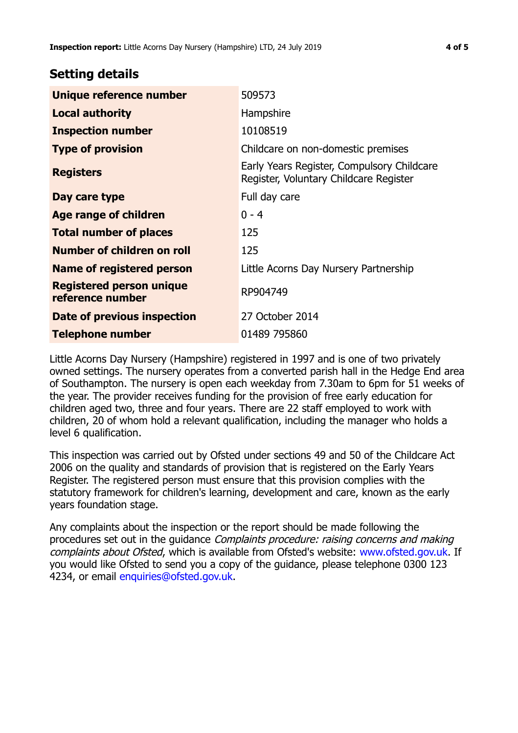## **Setting details**

| Unique reference number                             | 509573                                                                               |
|-----------------------------------------------------|--------------------------------------------------------------------------------------|
| <b>Local authority</b>                              | Hampshire                                                                            |
| <b>Inspection number</b>                            | 10108519                                                                             |
| <b>Type of provision</b>                            | Childcare on non-domestic premises                                                   |
| <b>Registers</b>                                    | Early Years Register, Compulsory Childcare<br>Register, Voluntary Childcare Register |
| Day care type                                       | Full day care                                                                        |
| <b>Age range of children</b>                        | $0 - 4$                                                                              |
| <b>Total number of places</b>                       | 125                                                                                  |
| Number of children on roll                          | 125                                                                                  |
| Name of registered person                           | Little Acorns Day Nursery Partnership                                                |
| <b>Registered person unique</b><br>reference number | RP904749                                                                             |
| Date of previous inspection                         | 27 October 2014                                                                      |
| <b>Telephone number</b>                             | 01489 795860                                                                         |

Little Acorns Day Nursery (Hampshire) registered in 1997 and is one of two privately owned settings. The nursery operates from a converted parish hall in the Hedge End area of Southampton. The nursery is open each weekday from 7.30am to 6pm for 51 weeks of the year. The provider receives funding for the provision of free early education for children aged two, three and four years. There are 22 staff employed to work with children, 20 of whom hold a relevant qualification, including the manager who holds a level 6 qualification.

This inspection was carried out by Ofsted under sections 49 and 50 of the Childcare Act 2006 on the quality and standards of provision that is registered on the Early Years Register. The registered person must ensure that this provision complies with the statutory framework for children's learning, development and care, known as the early years foundation stage.

Any complaints about the inspection or the report should be made following the procedures set out in the guidance Complaints procedure: raising concerns and making complaints about Ofsted, which is available from Ofsted's website: www.ofsted.gov.uk. If you would like Ofsted to send you a copy of the guidance, please telephone 0300 123 4234, or email [enquiries@ofsted.gov.uk.](mailto:enquiries@ofsted.gov.uk)